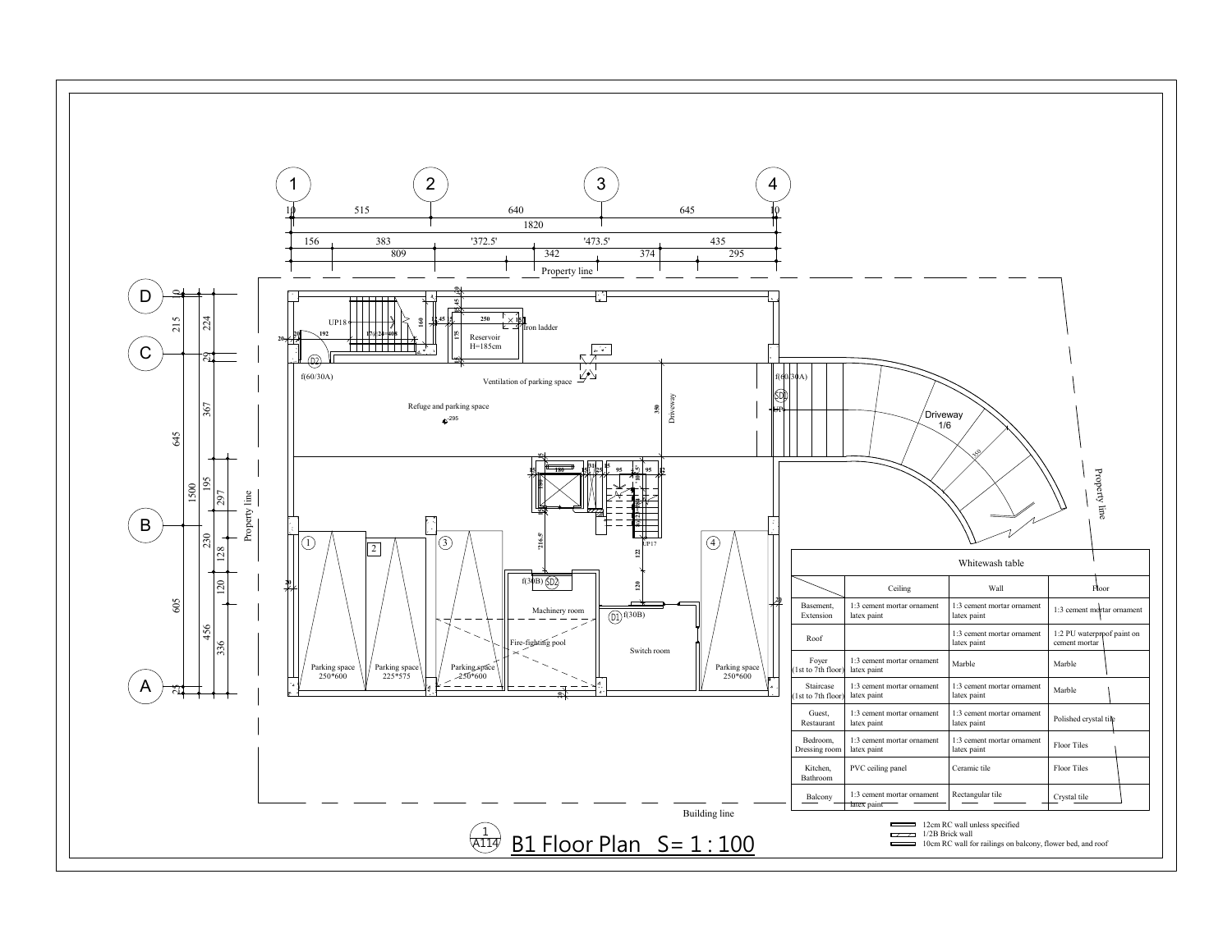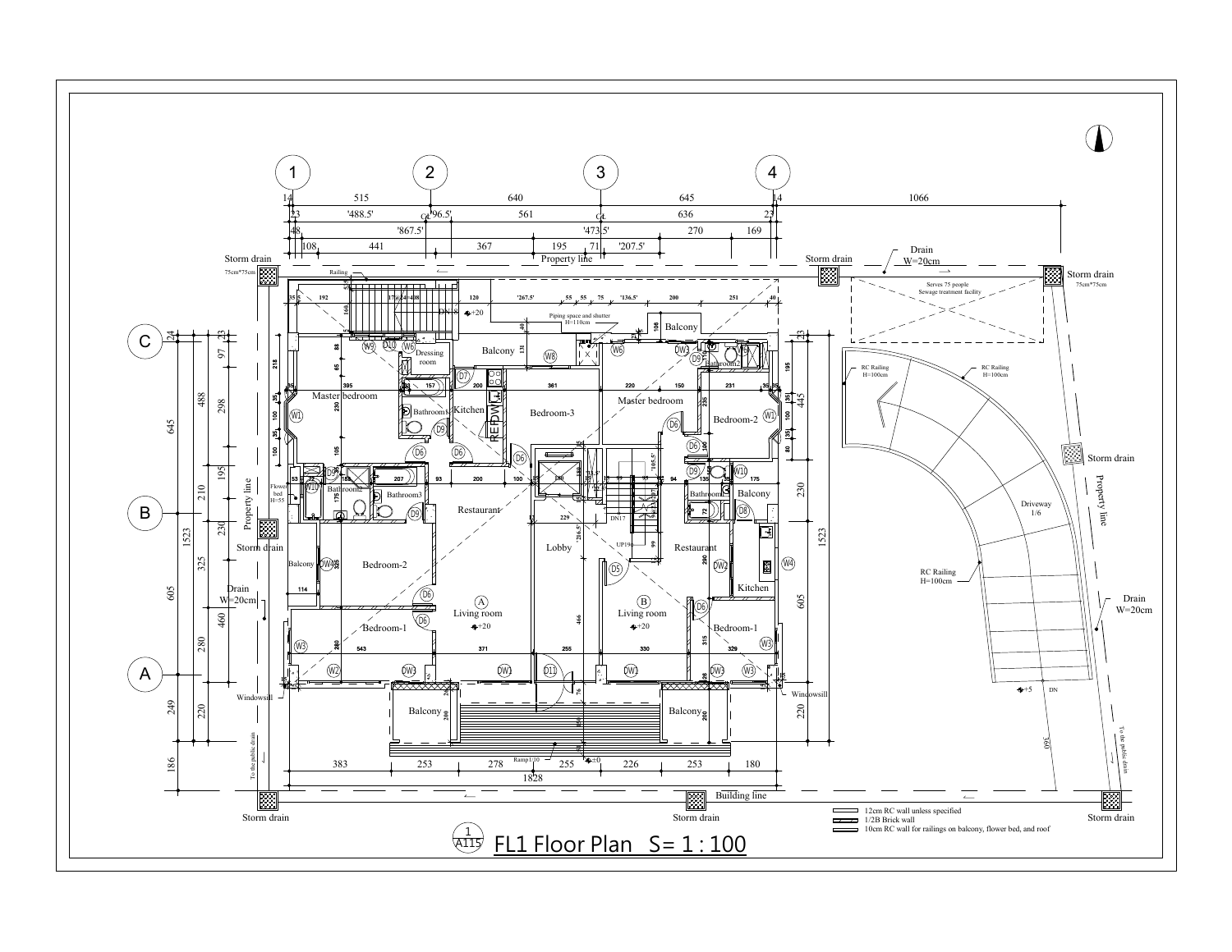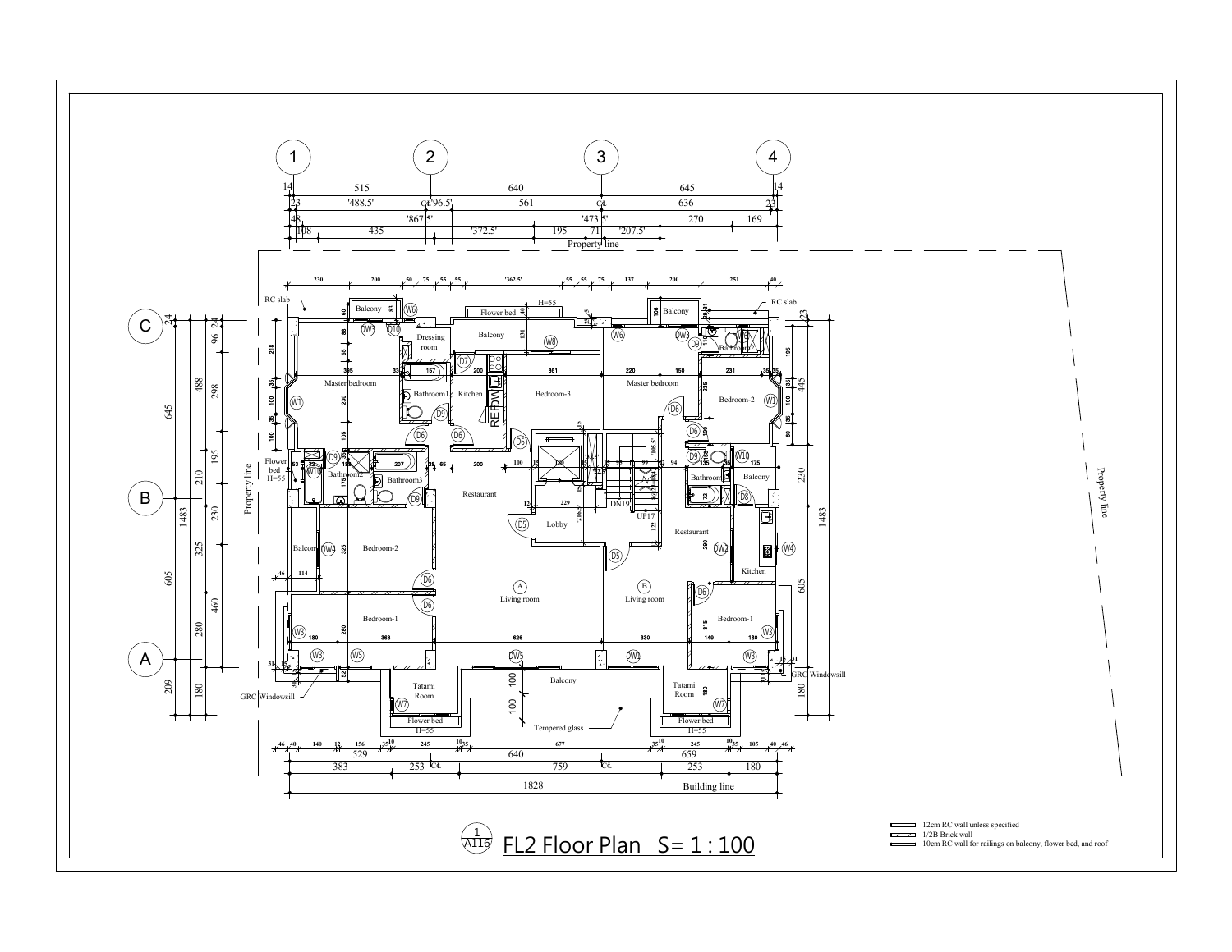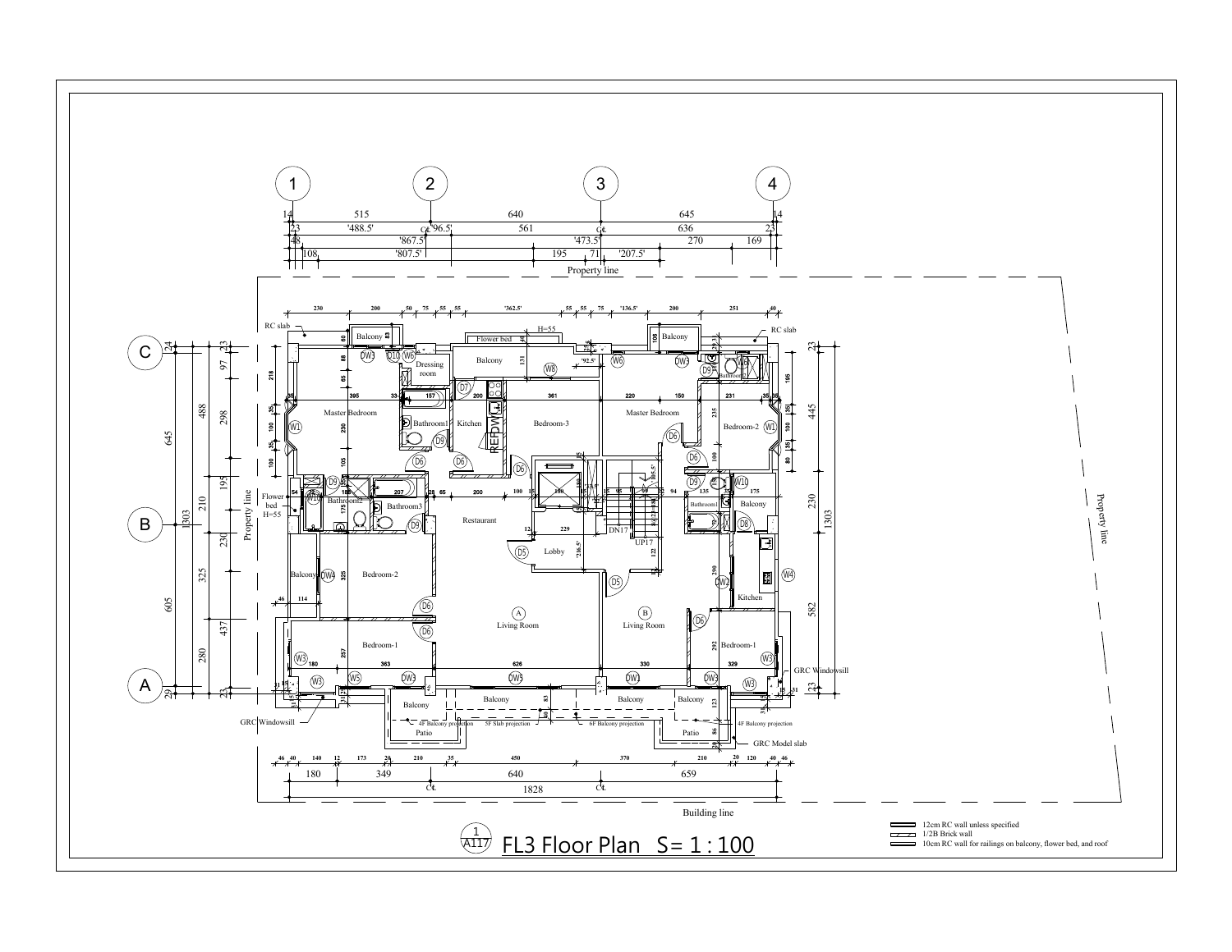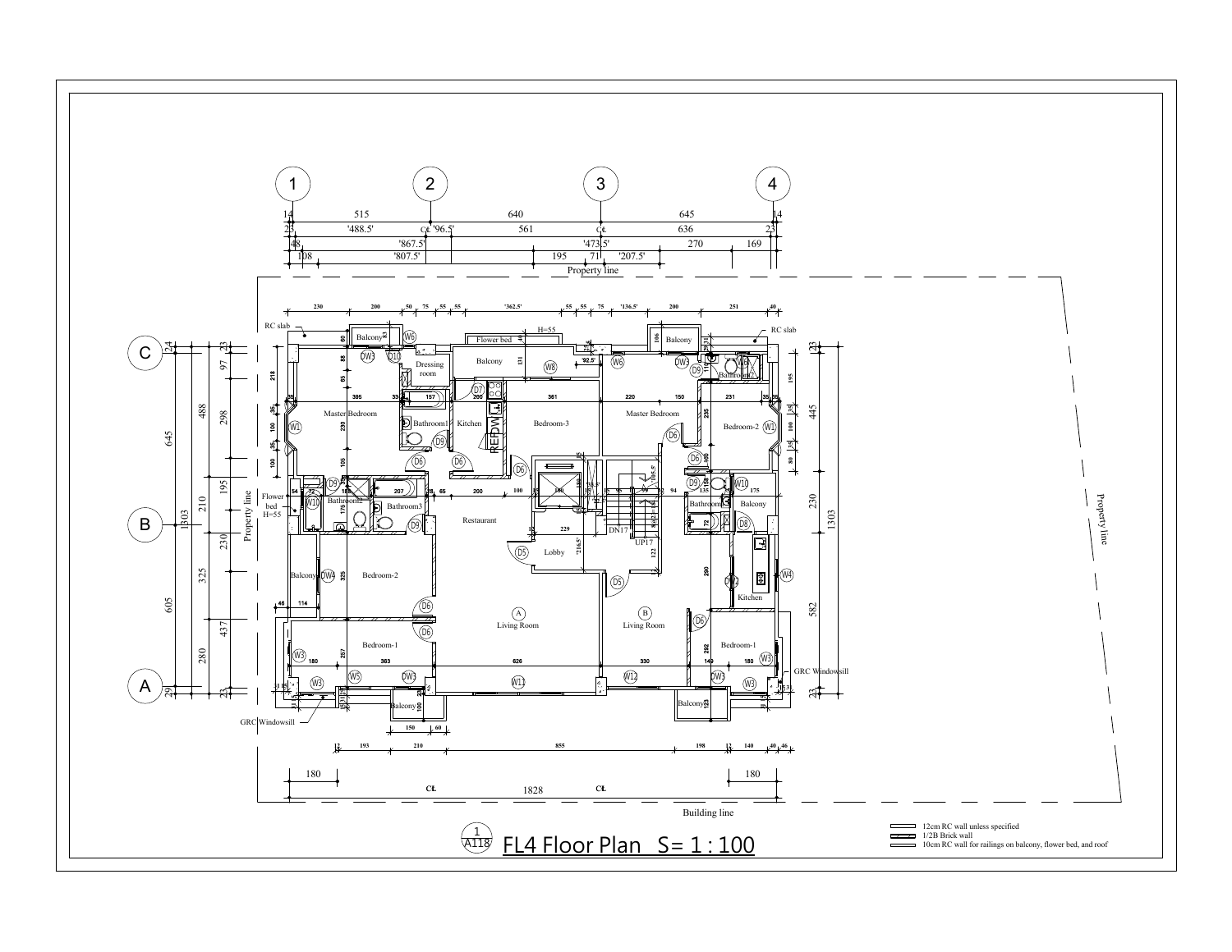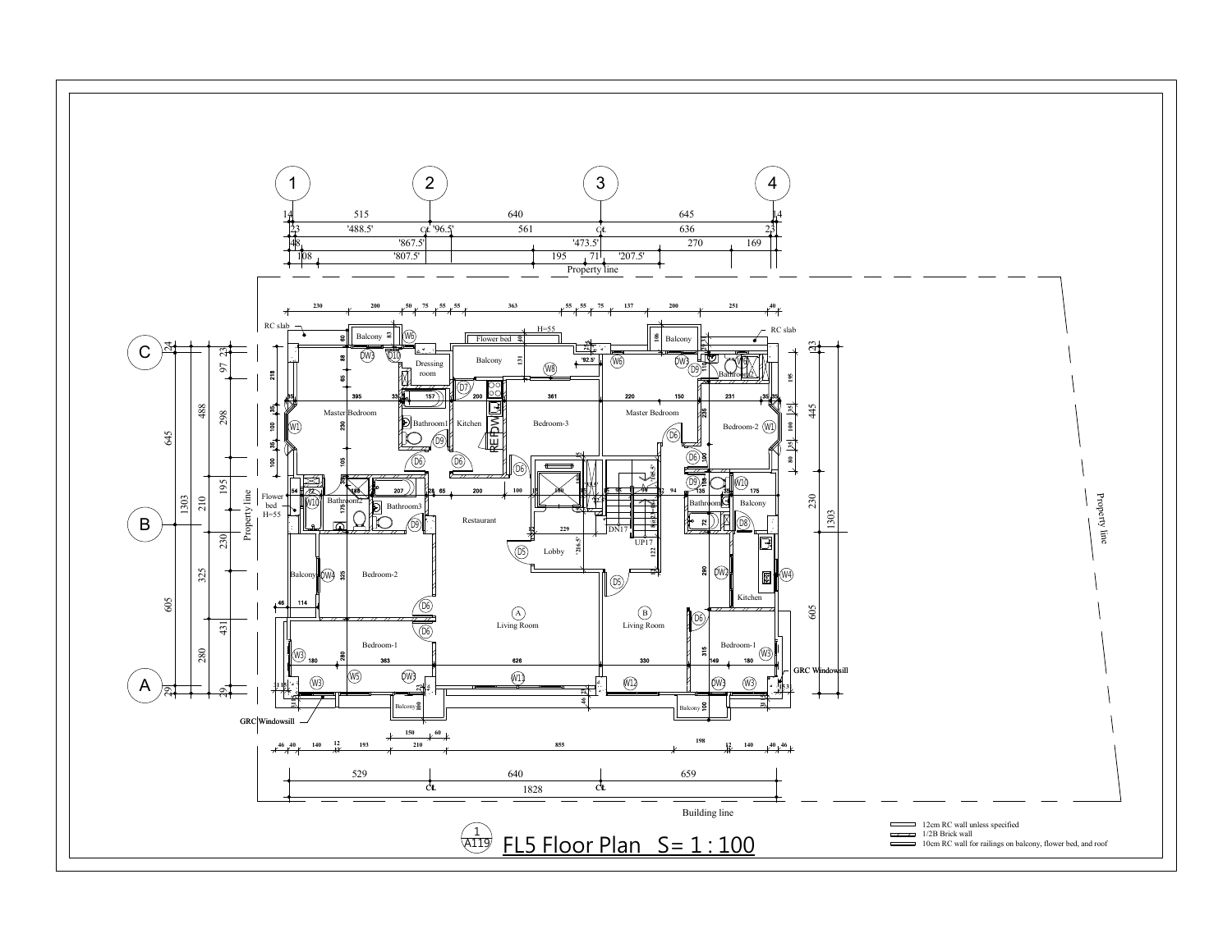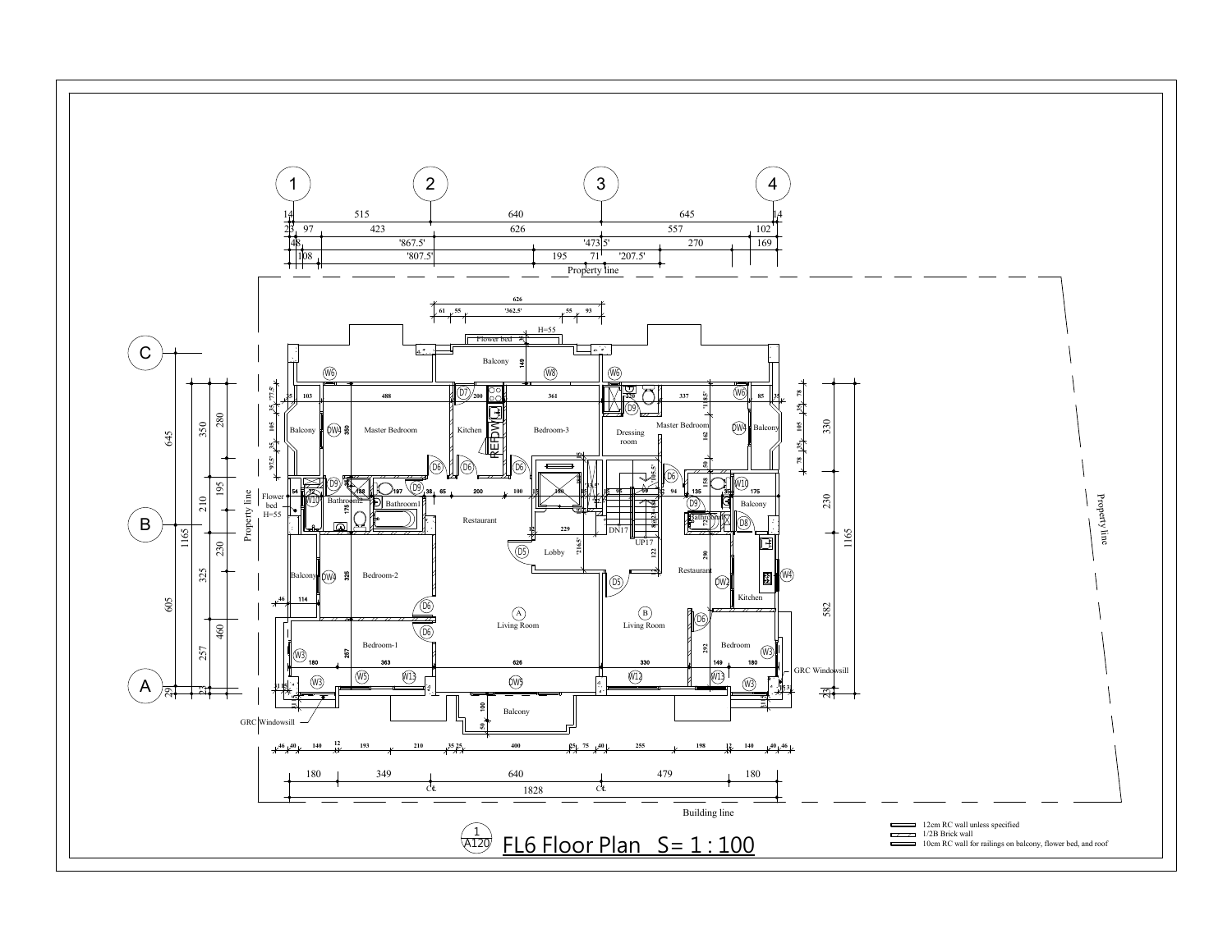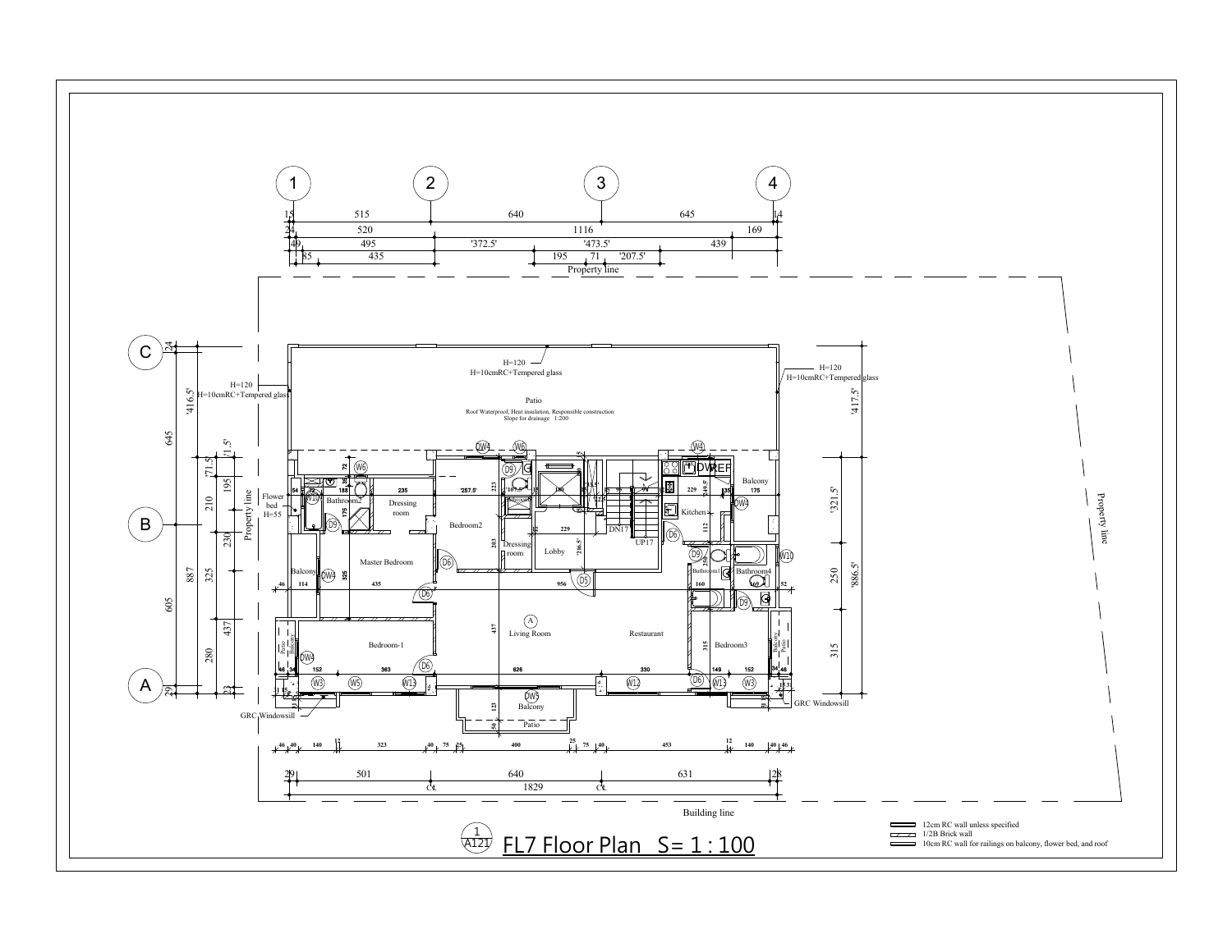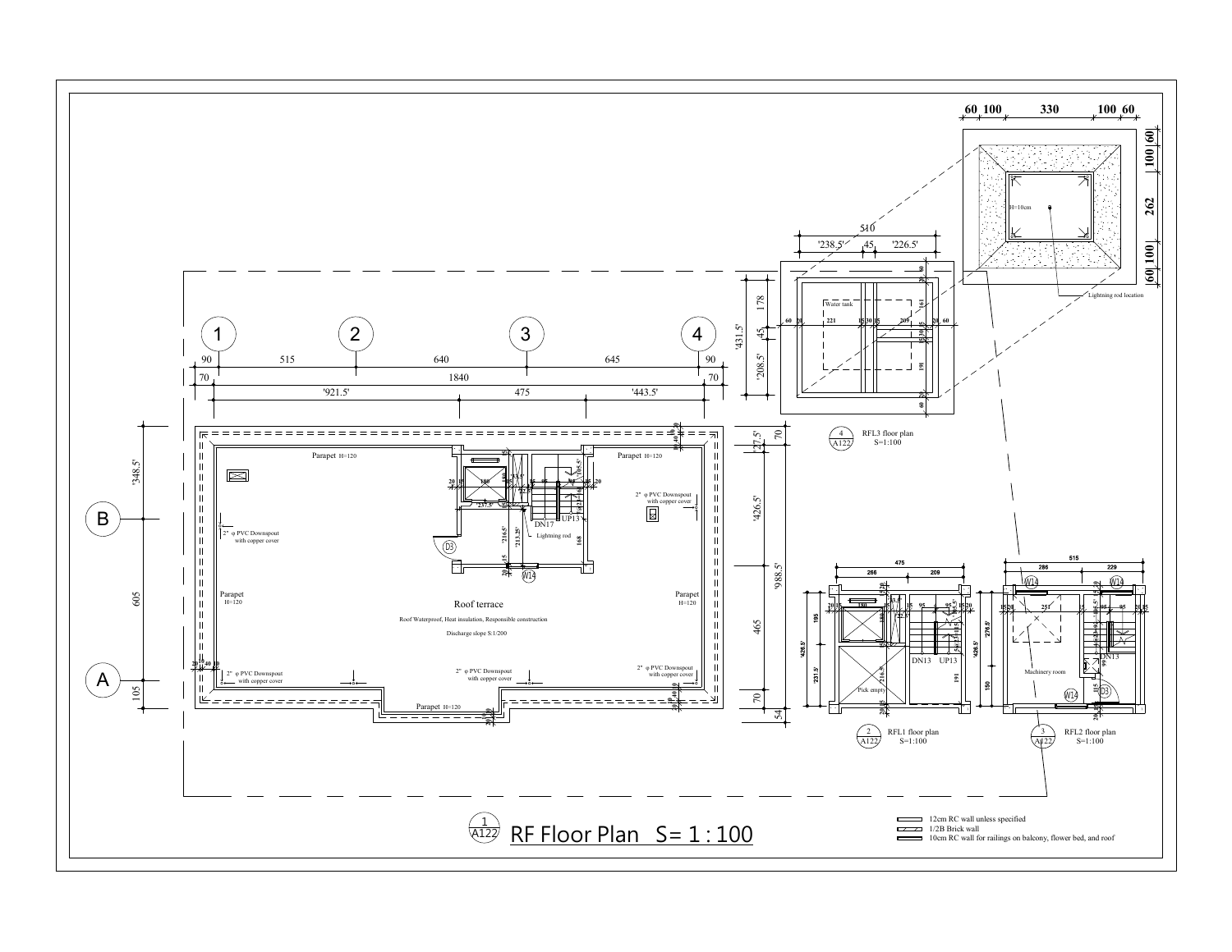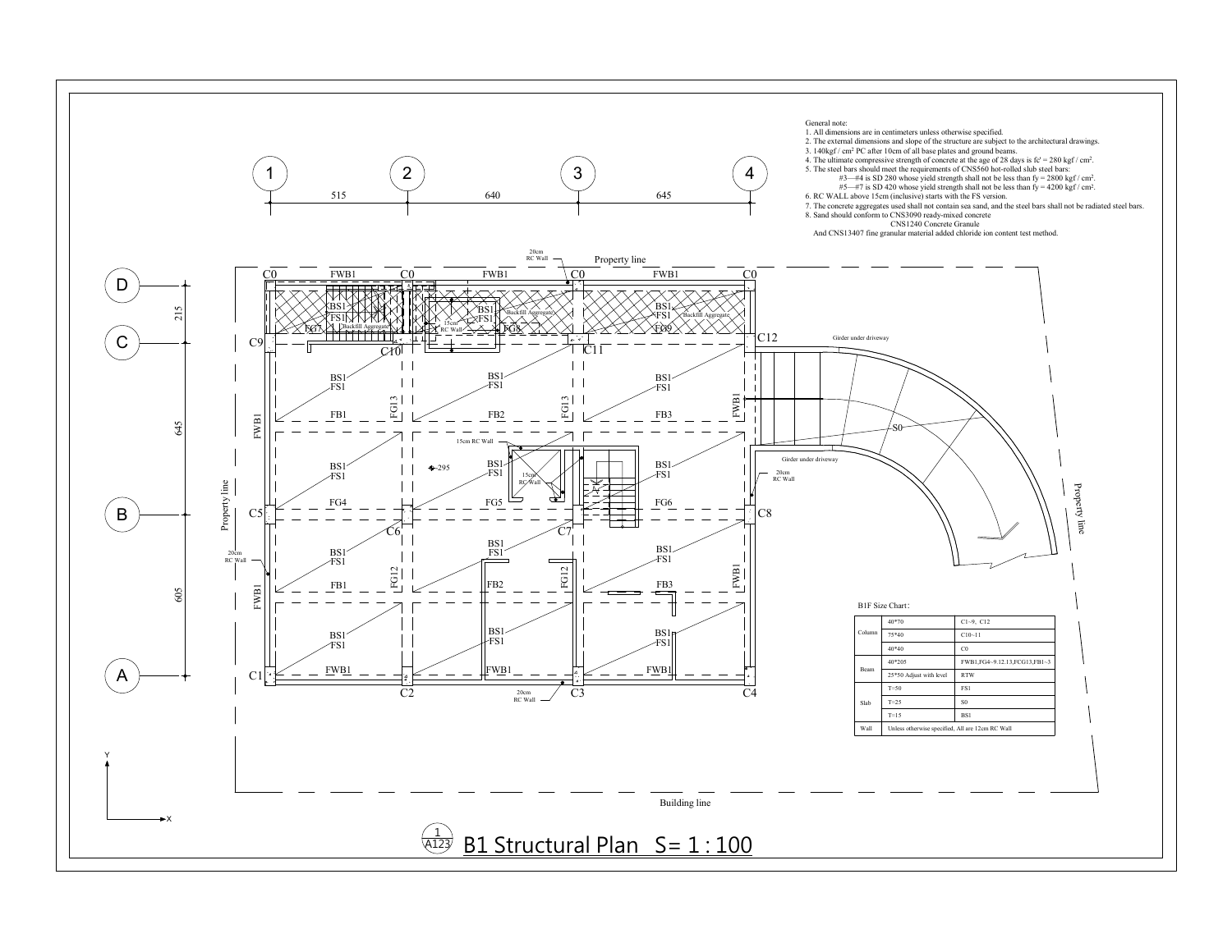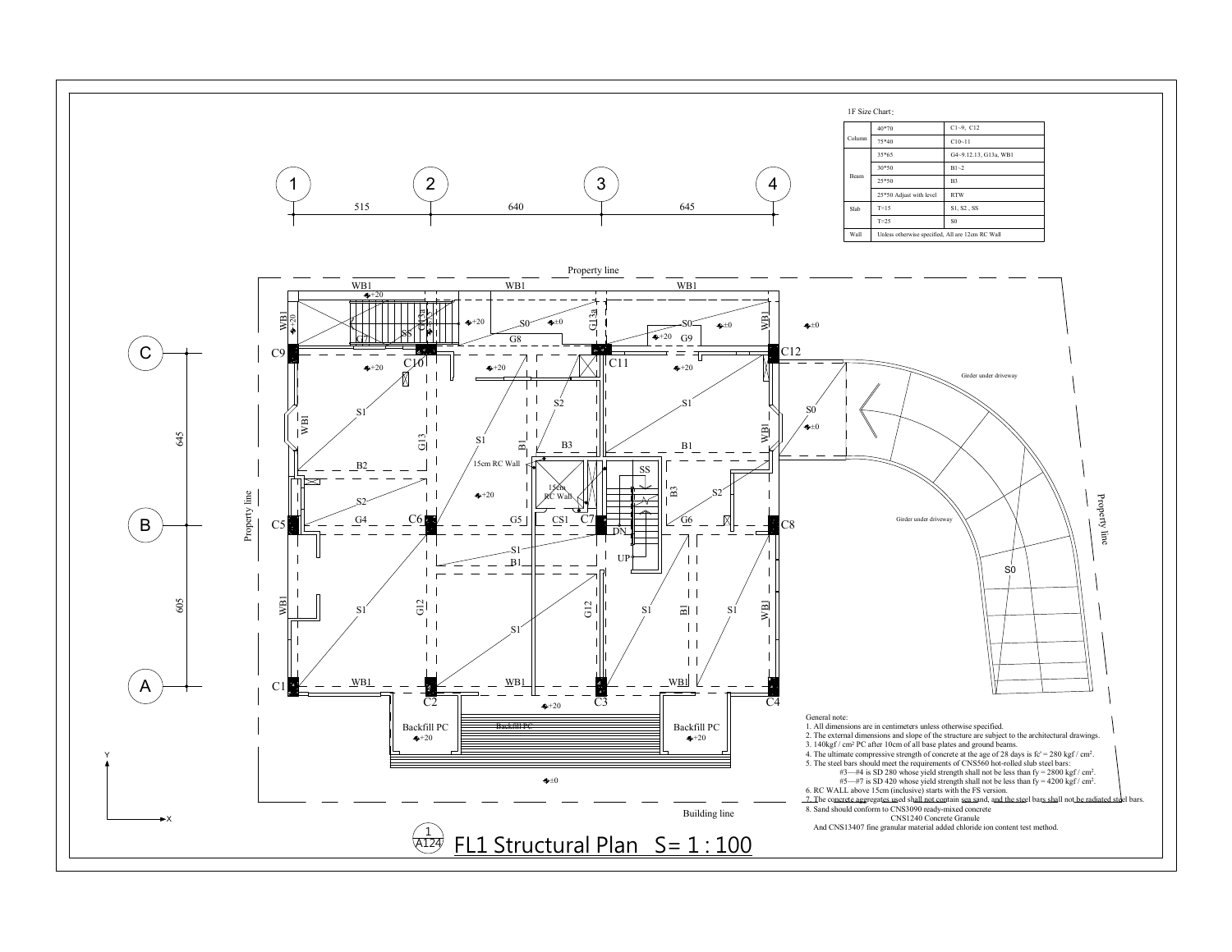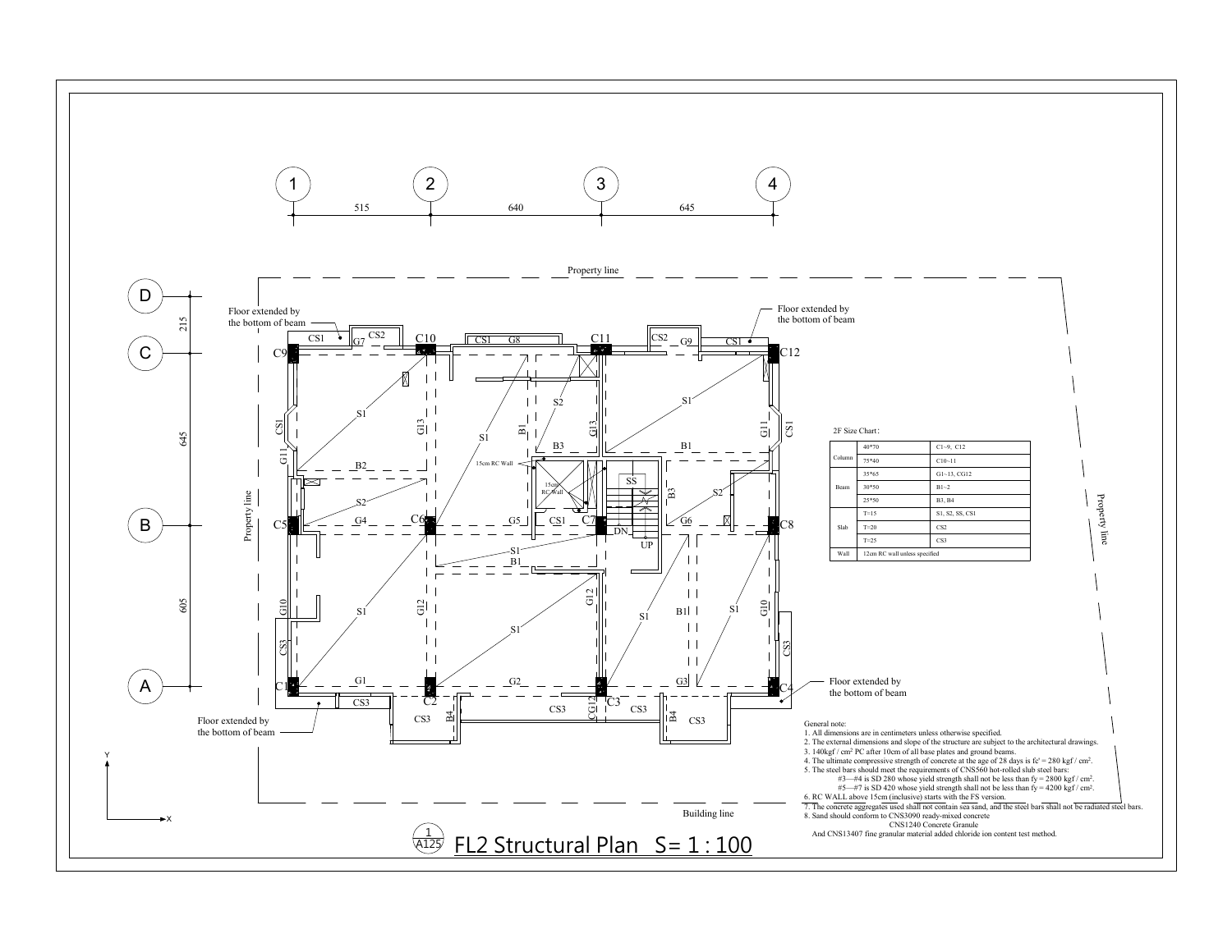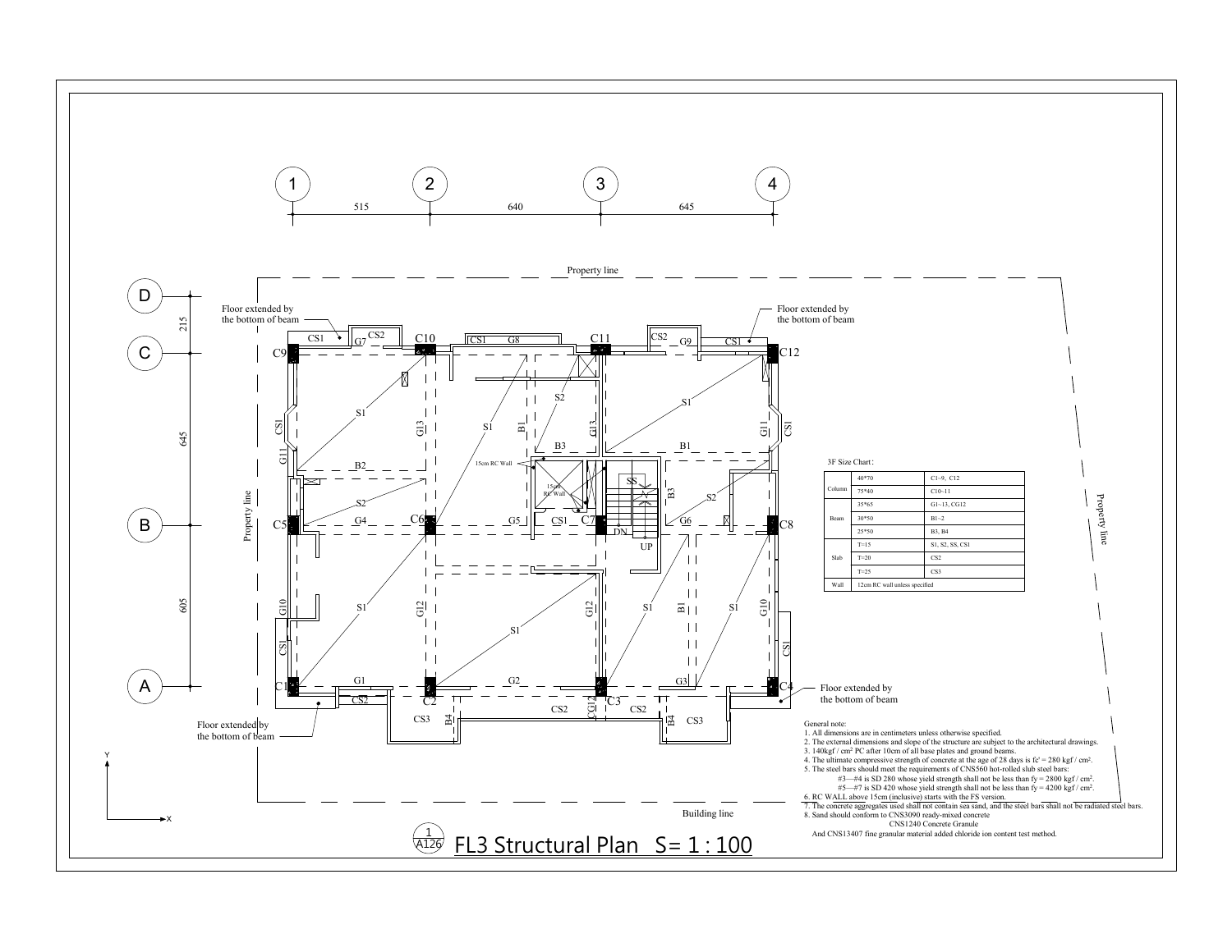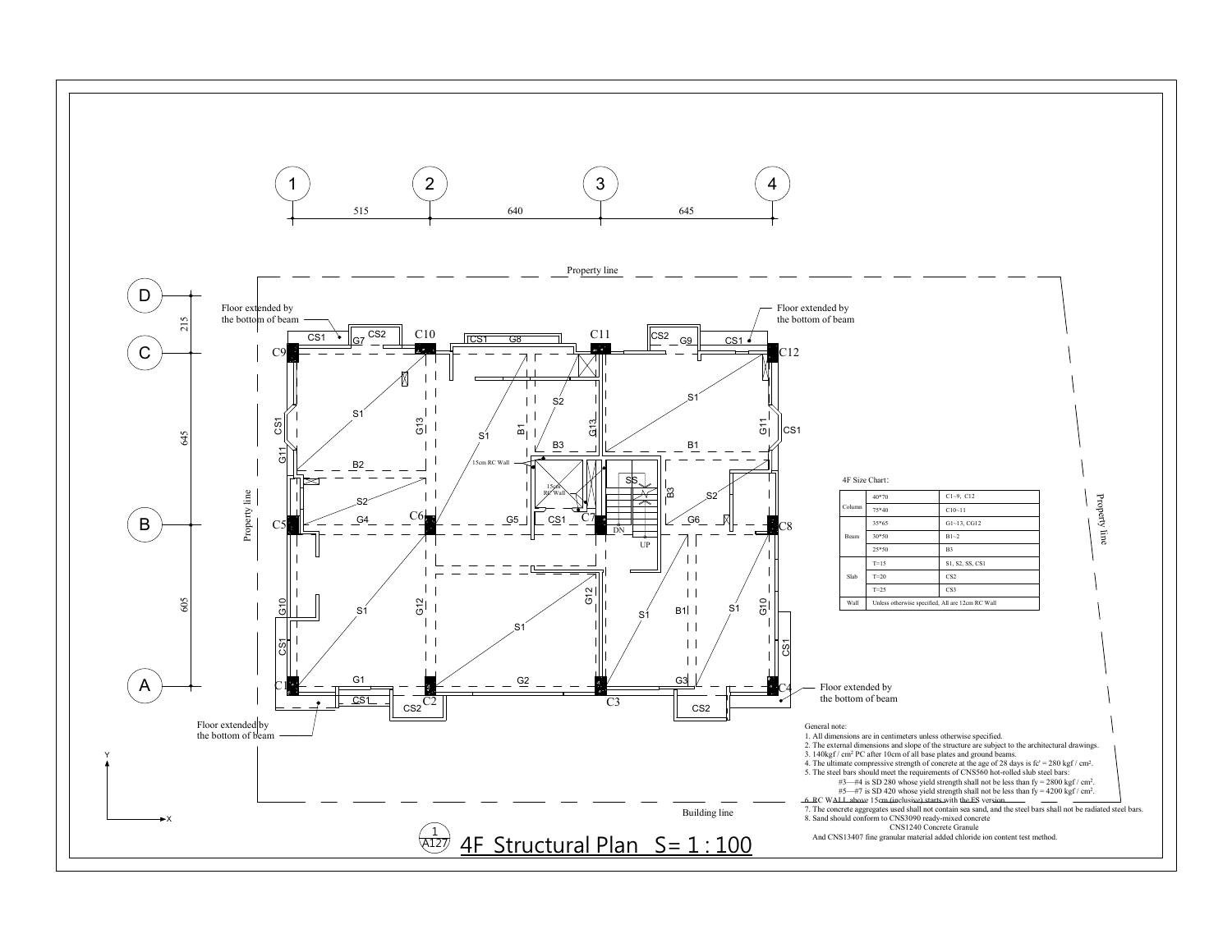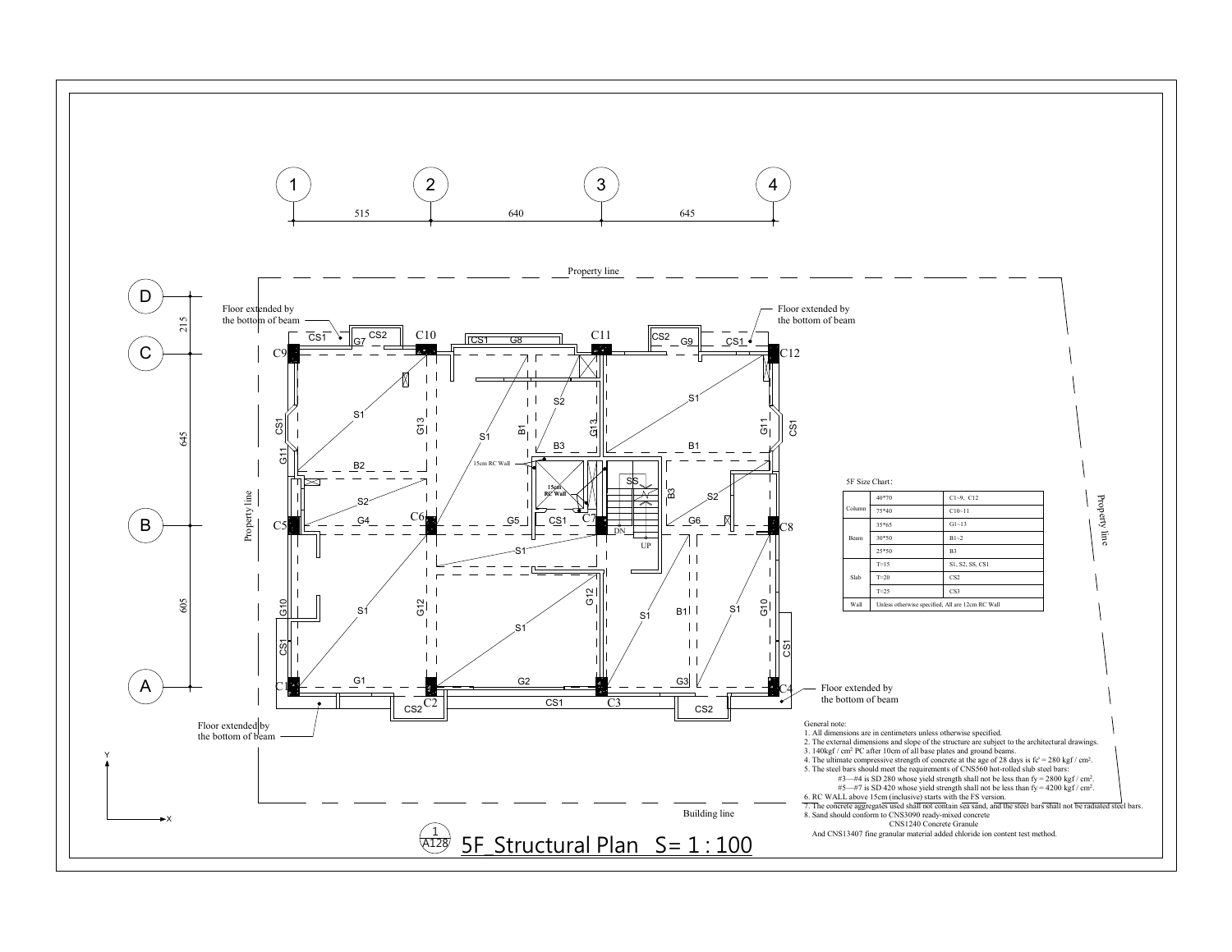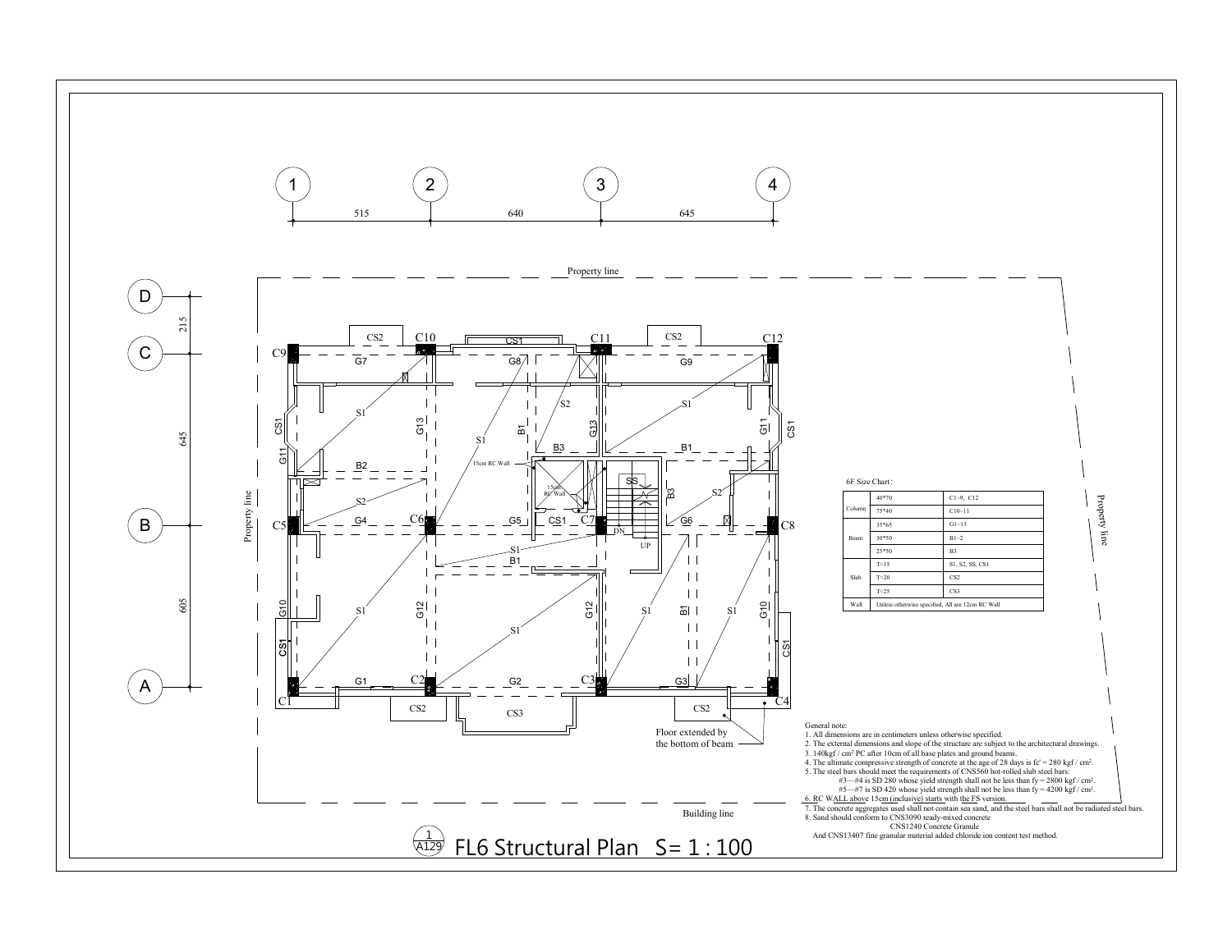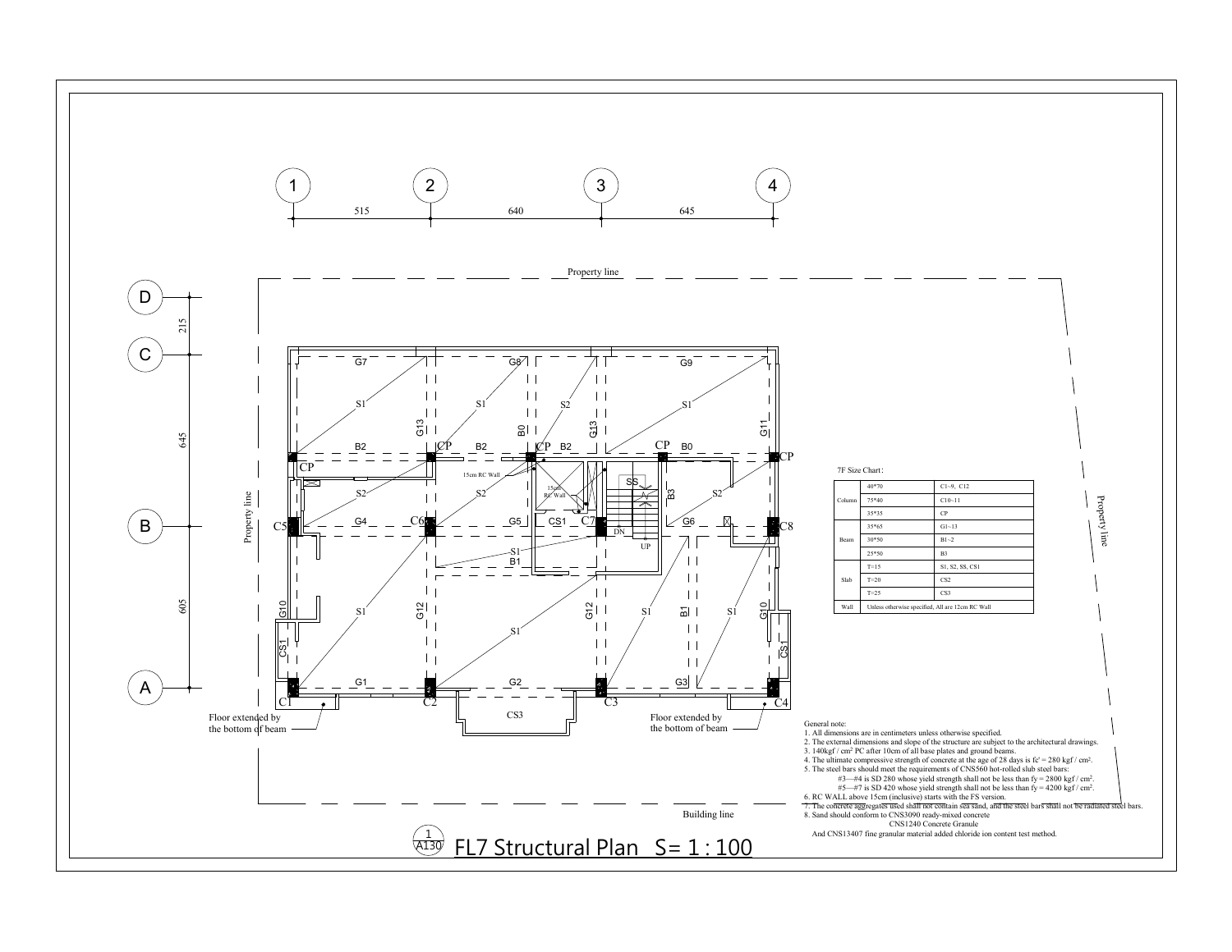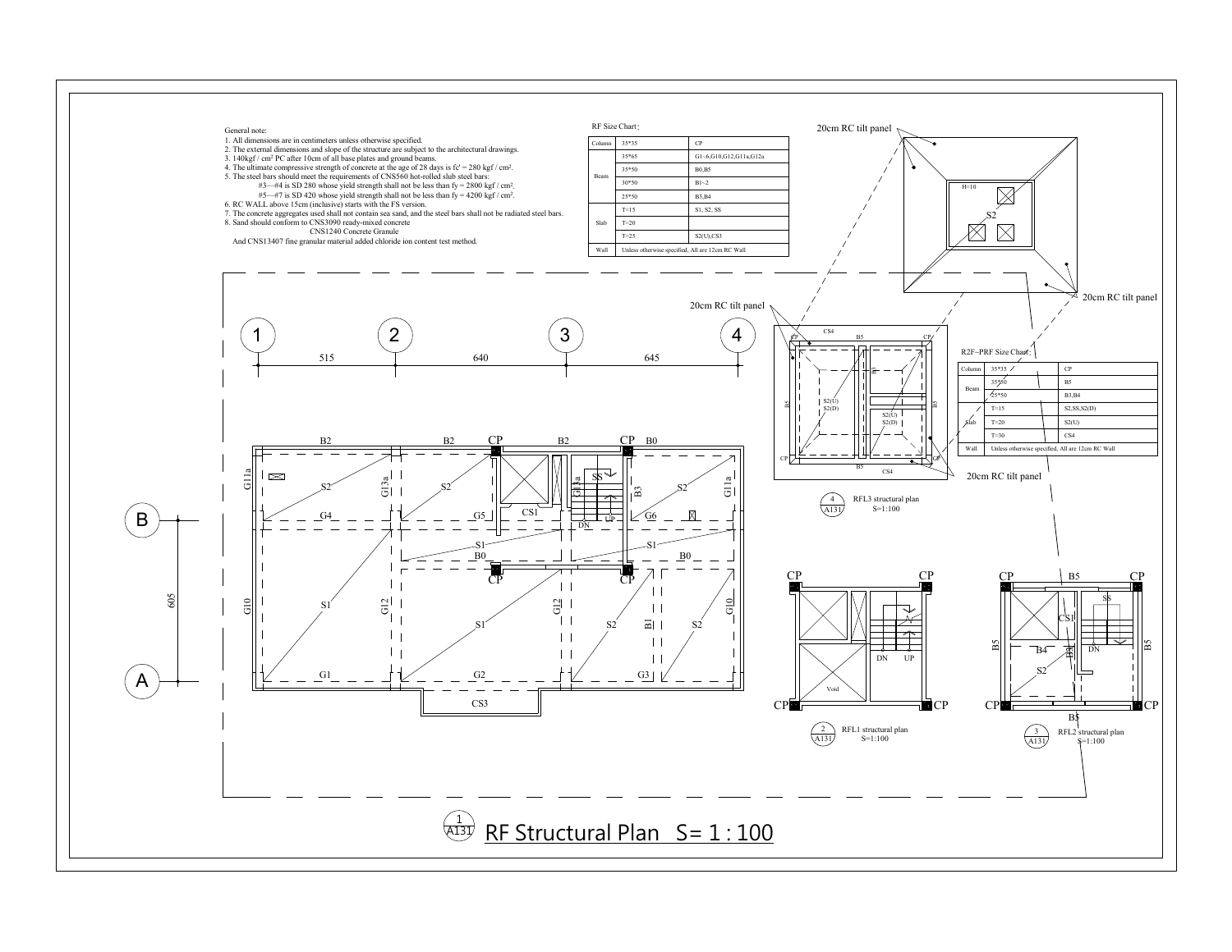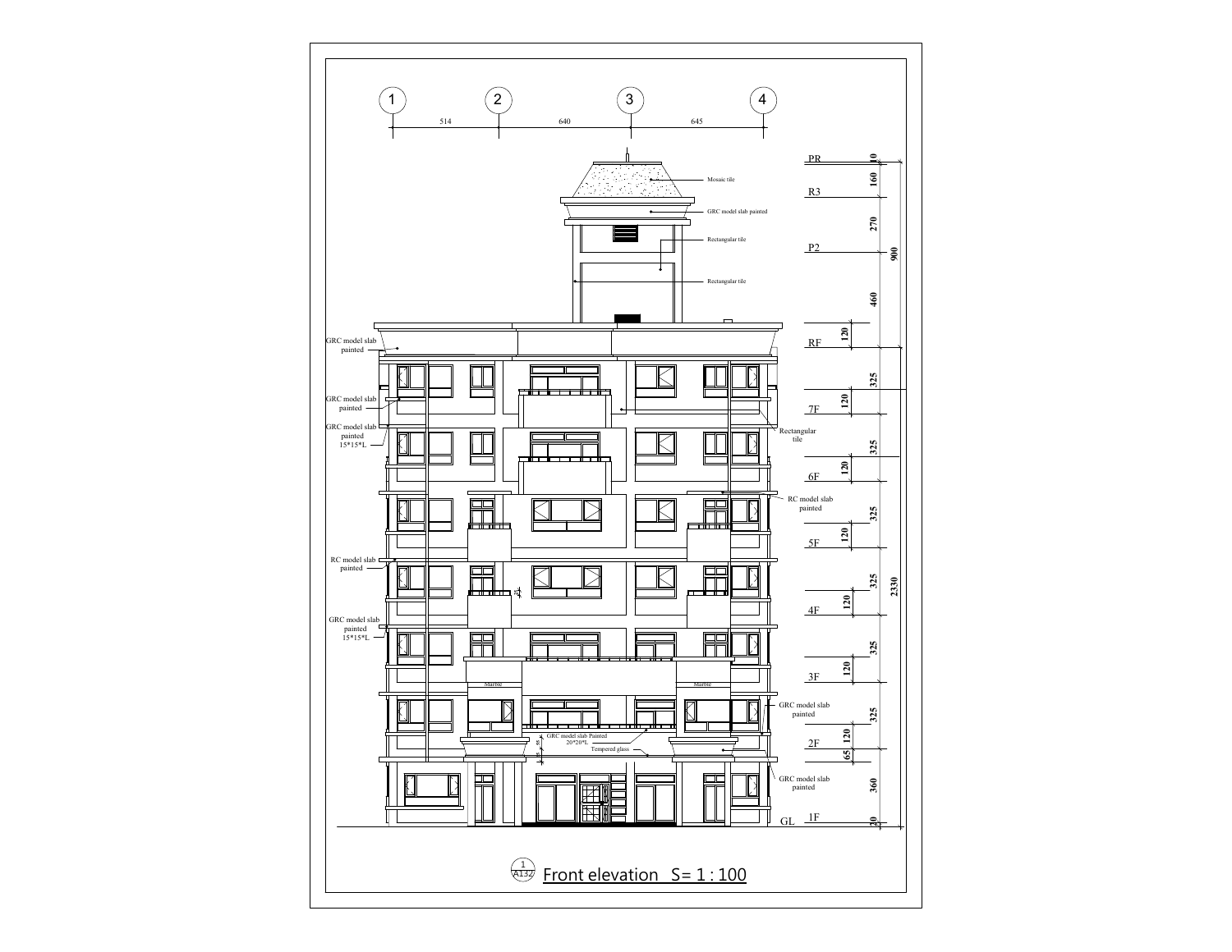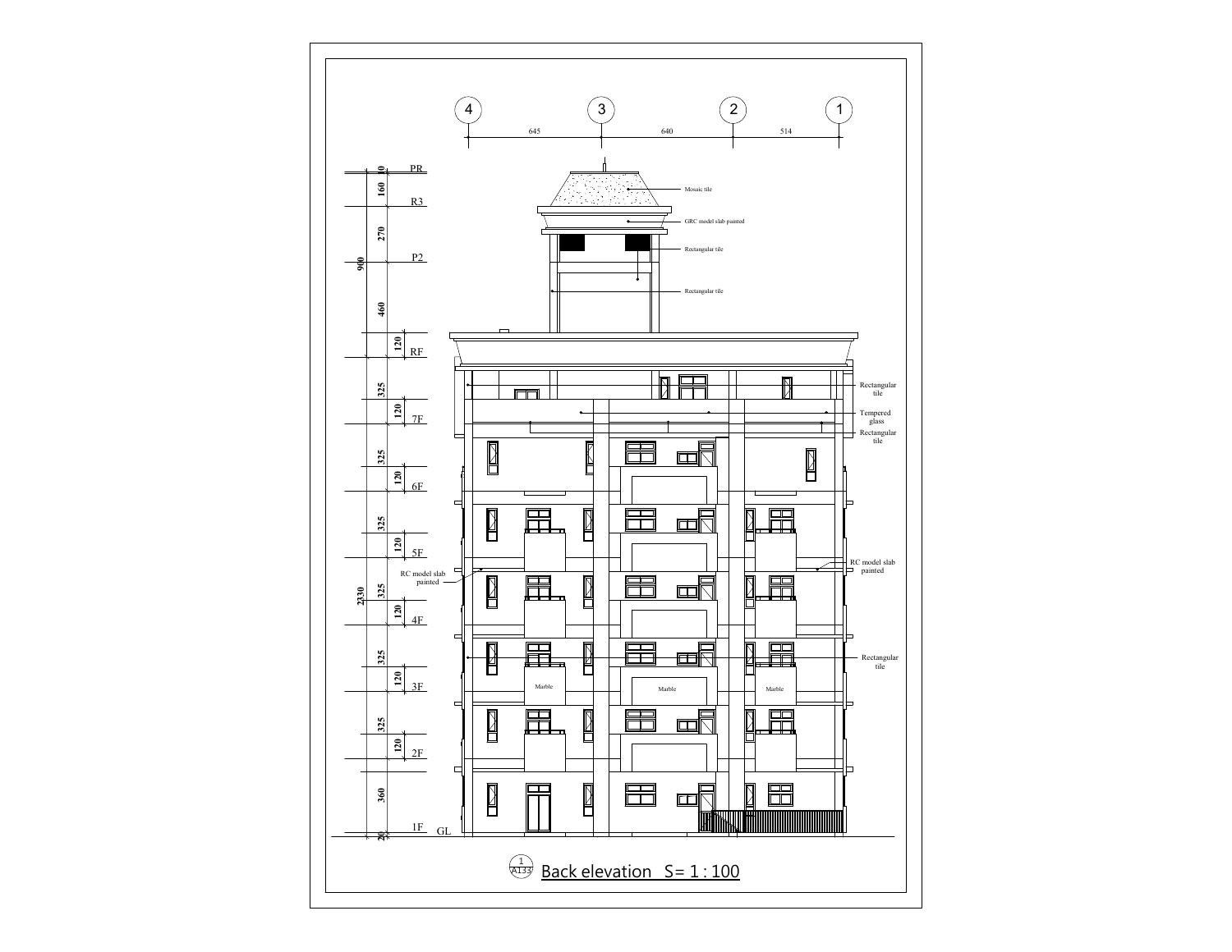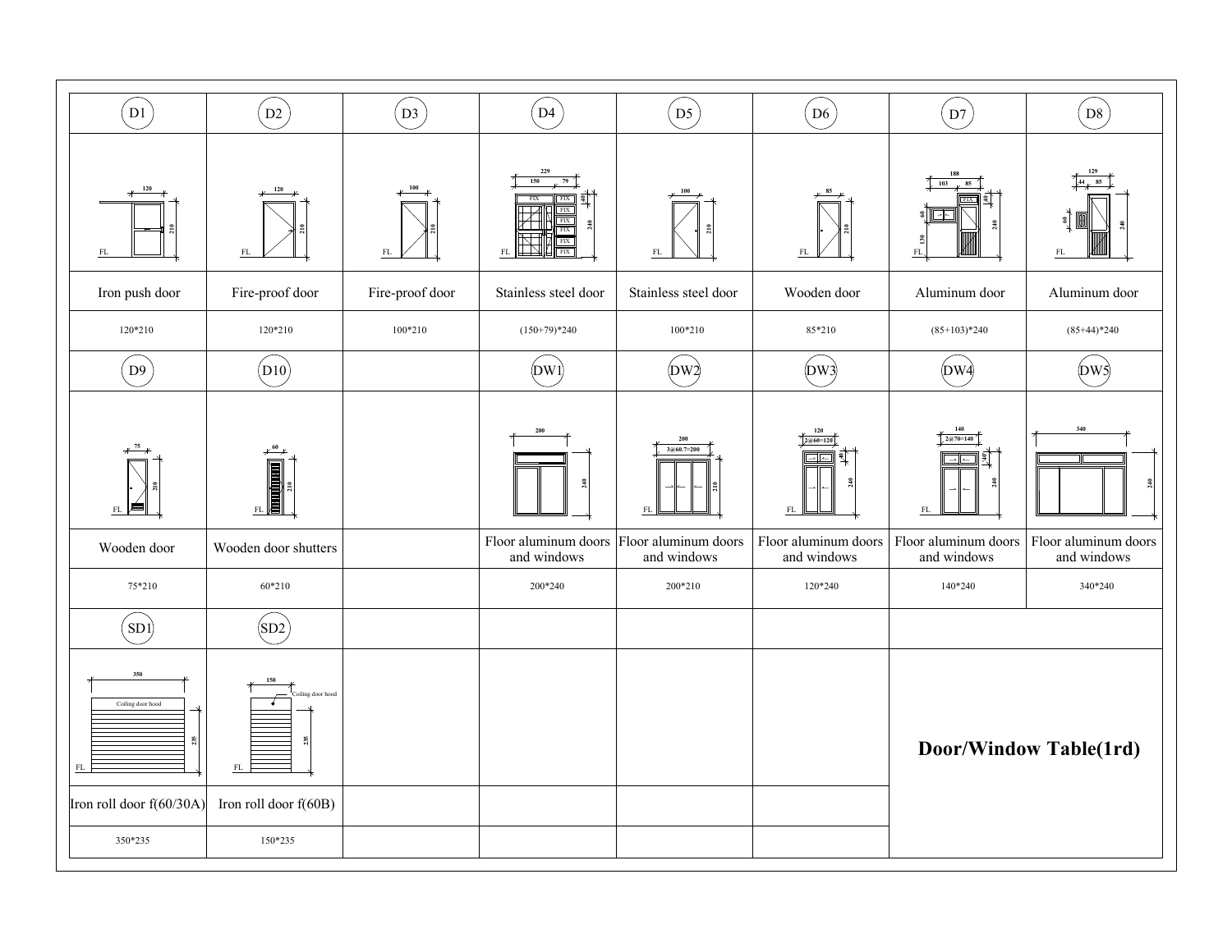| $\left( \text{D1} \right)$                                               | D2                                                            | $\sqrt{D3}$     | $\sqrt{D4}$                                                                         | $\left($ D5 $\right)$                    | $\sqrt{D6}$                                                                                                                   | $\mathbf{D}7$                                                                                                                                   | $\left( \text{D8} \right)$                 |
|--------------------------------------------------------------------------|---------------------------------------------------------------|-----------------|-------------------------------------------------------------------------------------|------------------------------------------|-------------------------------------------------------------------------------------------------------------------------------|-------------------------------------------------------------------------------------------------------------------------------------------------|--------------------------------------------|
| ${\rm FL}$                                                               | $\mathop{\rm FL}\nolimits$                                    | FL              | 229<br>150<br>FIX<br>FIX.<br><b>FIX</b><br>$\frac{1}{2}$<br>FIX <sup>1</sup><br>FIX | ${\rm FL}$                               |                                                                                                                               | ${\rm FL}$                                                                                                                                      |                                            |
| Iron push door                                                           | Fire-proof door                                               | Fire-proof door | Stainless steel door                                                                | Stainless steel door                     | Wooden door                                                                                                                   | Aluminum door                                                                                                                                   | Aluminum door                              |
| $120*210$                                                                | $120*210$                                                     | $100*210$       | $(150+79)*240$                                                                      | $100*210$                                | $85*210$                                                                                                                      | $(85+103)*240$                                                                                                                                  | $(85+44)*240$                              |
| (D9)                                                                     | $\big(\text{D}10\big)$                                        |                 | $(\mathbf{pw})$                                                                     | $\left(\text{DW}\right)$                 | $\left(\text{DW}\right)$                                                                                                      | $\left(\text{DW} \right)$                                                                                                                       | $\left(\text{DW}\right)$                   |
| Wooden door                                                              | FL<br>Wooden door shutters                                    |                 | $\overline{a}$<br>Floor aluminum doors Floor aluminum doors<br>and windows          | 200<br>$3@60.7=200$<br>FL<br>and windows | 120<br>$2@60=120$<br>$\overline{\phantom{a}}$<br>$\frac{3}{2}$<br>$\mathcal{FL}% _{0}$<br>Floor aluminum doors<br>and windows | $\left\{\frac{140}{2@70=140}\right\}$<br>乳<br>$\rightarrow$ $\leftarrow$<br>$\frac{3}{40}$<br>${\rm FL}$<br>Floor aluminum doors<br>and windows | 340<br>Floor aluminum doors<br>and windows |
| 75*210                                                                   | 60*210                                                        |                 | 200*240                                                                             | 200*210                                  | 120*240                                                                                                                       | 140*240                                                                                                                                         | 340*240                                    |
| $\left($ SD1 $\right)$                                                   | (SD2)                                                         |                 |                                                                                     |                                          |                                                                                                                               |                                                                                                                                                 |                                            |
| 350<br>Coiling door hood<br>25<br>$\rm FL$<br>Iron roll door $f(60/30A)$ | 'oiling door hood<br>235<br>$\rm FL$<br>Iron roll door f(60B) |                 |                                                                                     |                                          |                                                                                                                               | Door/Window Table(1rd)                                                                                                                          |                                            |
| 350*235                                                                  | 150*235                                                       |                 |                                                                                     |                                          |                                                                                                                               |                                                                                                                                                 |                                            |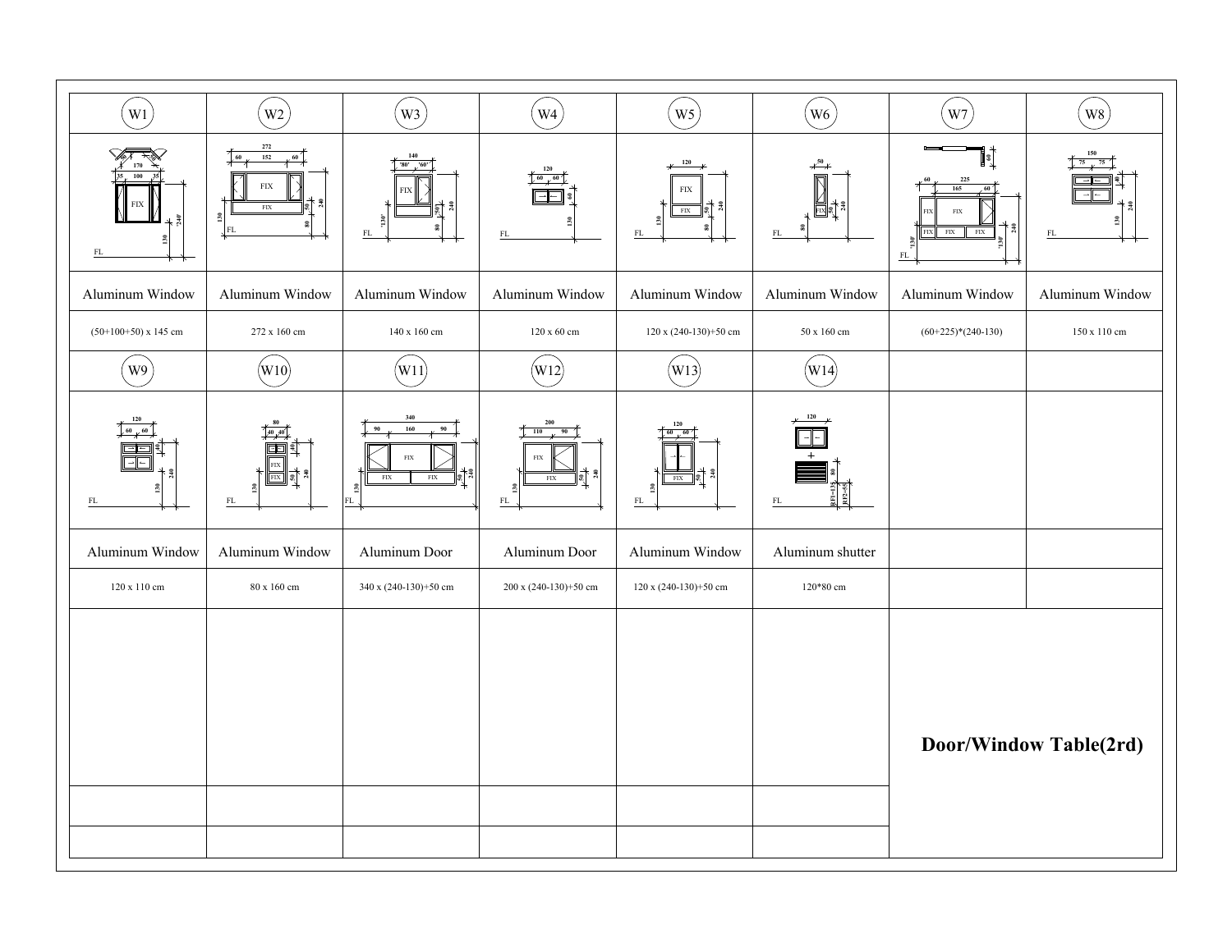